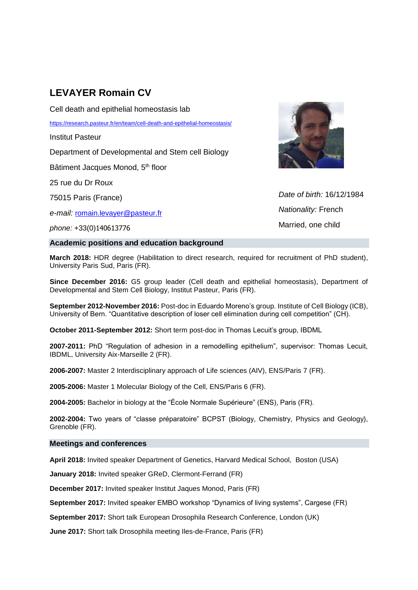# **LEVAYER Romain CV**

Cell death and epithelial homeostasis lab

<https://research.pasteur.fr/en/team/cell-death-and-epithelial-homeostasis/>

Institut Pasteur

Department of Developmental and Stem cell Biology

Bâtiment Jacques Monod, 5<sup>th</sup> floor

25 rue du Dr Roux

75015 Paris (France)

*e-mail:* [romain.levayer@pasteur.fr](mailto:romain.levayer@pasteur.fr)

*phone:* +33(0)140613776

# **Academic positions and education background**



*Date of birth:* 16/12/1984 *Nationality:* French Married, one child

**March 2018:** HDR degree (Habilitation to direct research, required for recruitment of PhD student), University Paris Sud, Paris (FR).

**Since December 2016:** G5 group leader (Cell death and epithelial homeostasis), Department of Developmental and Stem Cell Biology, Institut Pasteur, Paris (FR).

**September 2012-November 2016:** Post-doc in Eduardo Moreno's group. Institute of Cell Biology (ICB), University of Bern. "Quantitative description of loser cell elimination during cell competition" (CH).

**October 2011-September 2012:** Short term post-doc in Thomas Lecuit's group, IBDML

**2007-2011:** PhD "Regulation of adhesion in a remodelling epithelium", supervisor: Thomas Lecuit, IBDML, University Aix-Marseille 2 (FR).

**2006-2007:** Master 2 Interdisciplinary approach of Life sciences (AIV), ENS/Paris 7 (FR).

**2005-2006:** Master 1 Molecular Biology of the Cell, ENS/Paris 6 (FR).

**2004-2005:** Bachelor in biology at the "École Normale Supérieure" (ENS), Paris (FR).

**2002-2004:** Two years of "classe préparatoire" BCPST (Biology, Chemistry, Physics and Geology), Grenoble (FR).

## **Meetings and conferences**

**April 2018:** Invited speaker Department of Genetics, Harvard Medical School, Boston (USA)

**January 2018:** Invited speaker GReD, Clermont-Ferrand (FR)

**December 2017:** Invited speaker Institut Jaques Monod, Paris (FR)

**September 2017:** Invited speaker EMBO workshop "Dynamics of living systems", Cargese (FR)

**September 2017:** Short talk European Drosophila Research Conference, London (UK)

**June 2017:** Short talk Drosophila meeting Iles-de-France, Paris (FR)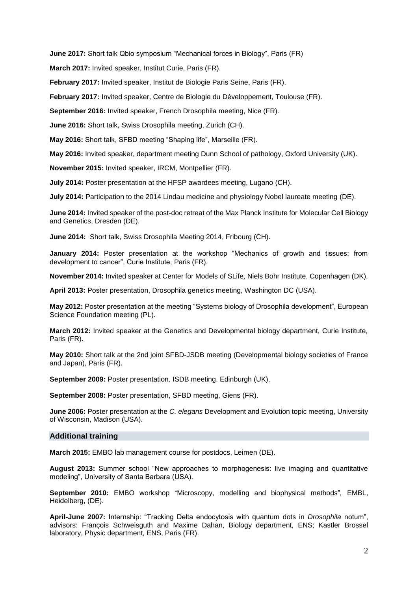**June 2017:** Short talk Qbio symposium "Mechanical forces in Biology", Paris (FR)

**March 2017:** Invited speaker, Institut Curie, Paris (FR).

**February 2017:** Invited speaker, Institut de Biologie Paris Seine, Paris (FR).

**February 2017:** Invited speaker, Centre de Biologie du Développement, Toulouse (FR).

**September 2016:** Invited speaker, French Drosophila meeting, Nice (FR).

**June 2016:** Short talk, Swiss Drosophila meeting, Zürich (CH).

**May 2016:** Short talk, SFBD meeting "Shaping life", Marseille (FR).

**May 2016:** Invited speaker, department meeting Dunn School of pathology, Oxford University (UK).

**November 2015:** Invited speaker, IRCM, Montpellier (FR).

**July 2014:** Poster presentation at the HFSP awardees meeting, Lugano (CH).

**July 2014:** Participation to the 2014 Lindau medicine and physiology Nobel laureate meeting (DE).

**June 2014:** Invited speaker of the post-doc retreat of the Max Planck Institute for Molecular Cell Biology and Genetics, Dresden (DE).

**June 2014:** Short talk, Swiss Drosophila Meeting 2014, Fribourg (CH).

**January 2014:** Poster presentation at the workshop "Mechanics of growth and tissues: from development to cancer", Curie Institute, Paris (FR).

**November 2014:** Invited speaker at Center for Models of SLife, Niels Bohr Institute, Copenhagen (DK).

**April 2013:** Poster presentation, Drosophila genetics meeting, Washington DC (USA).

**May 2012:** Poster presentation at the meeting "Systems biology of Drosophila development", European Science Foundation meeting (PL).

**March 2012:** Invited speaker at the Genetics and Developmental biology department, Curie Institute, Paris (FR).

**May 2010:** Short talk at the 2nd joint SFBD-JSDB meeting (Developmental biology societies of France and Japan), Paris (FR).

**September 2009:** Poster presentation*,* ISDB meeting, Edinburgh (UK).

**September 2008:** Poster presentation, SFBD meeting, Giens (FR).

**June 2006:** Poster presentation at the *C. elegans* Development and Evolution topic meeting, University of Wisconsin, Madison (USA).

#### **Additional training**

**March 2015:** EMBO lab management course for postdocs, Leimen (DE).

**August 2013:** Summer school "New approaches to morphogenesis: live imaging and quantitative modeling", University of Santa Barbara (USA).

**September 2010:** EMBO workshop *"*Microscopy, modelling and biophysical methods"*,* EMBL, Heidelberg, (DE).

**April-June 2007:** Internship: "Tracking Delta endocytosis with quantum dots in *Drosophila* notum", advisors: François Schweisguth and Maxime Dahan, Biology department, ENS; Kastler Brossel laboratory, Physic department, ENS, Paris (FR).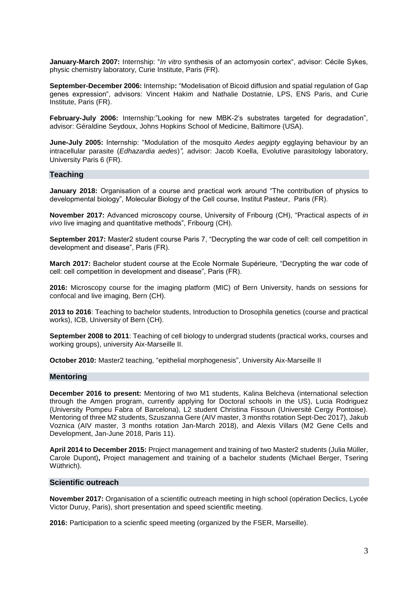**January-March 2007:** Internship: "*In vitro* synthesis of an actomyosin cortex", advisor: Cécile Sykes, physic chemistry laboratory, Curie Institute, Paris (FR).

**September-December 2006:** Internship**:** "Modelisation of Bicoid diffusion and spatial regulation of Gap genes expression", advisors: Vincent Hakim and Nathalie Dostatnie, LPS, ENS Paris, and Curie Institute, Paris (FR).

**February-July 2006:** Internship:"Looking for new MBK-2's substrates targeted for degradation", advisor: Géraldine Seydoux, Johns Hopkins School of Medicine, Baltimore (USA).

**June-July 2005:** Internship: "Modulation of the mosquito *Aedes aegipty* egglaying behaviour by an intracellular parasite (*Edhazardia aedes*)*",* advisor: Jacob Koella, Evolutive parasitology laboratory, University Paris 6 (FR).

## **Teaching**

**January 2018:** Organisation of a course and practical work around "The contribution of physics to developmental biology", Molecular Biology of the Cell course, Institut Pasteur, Paris (FR).

**November 2017:** Advanced microscopy course, University of Fribourg (CH), "Practical aspects of *in vivo* live imaging and quantitative methods", Fribourg (CH).

**September 2017:** Master2 student course Paris 7, "Decrypting the war code of cell: cell competition in development and disease", Paris (FR).

**March 2017:** Bachelor student course at the Ecole Normale Supérieure, "Decrypting the war code of cell: cell competition in development and disease", Paris (FR).

**2016:** Microscopy course for the imaging platform (MIC) of Bern University, hands on sessions for confocal and live imaging, Bern (CH).

**2013 to 2016**: Teaching to bachelor students, Introduction to Drosophila genetics (course and practical works), ICB, University of Bern (CH).

**September 2008 to 2011**: Teaching of cell biology to undergrad students (practical works, courses and working groups), university Aix-Marseille II.

**October 2010:** Master2 teaching, "epithelial morphogenesis", University Aix-Marseille II

#### **Mentoring**

**December 2016 to present:** Mentoring of two M1 students, Kalina Belcheva (international selection through the Amgen program, currently applying for Doctoral schools in the US), Lucia Rodriguez (University Pompeu Fabra of Barcelona), L2 student Christina Fissoun (Université Cergy Pontoise). Mentoring of three M2 students, Szuszanna Gere (AIV master, 3 months rotation Sept-Dec 2017), Jakub Voznica (AIV master, 3 months rotation Jan-March 2018), and Alexis Villars (M2 Gene Cells and Development, Jan-June 2018, Paris 11).

**April 2014 to December 2015:** Project management and training of two Master2 students (Julia Müller, Carole Dupont)**,** Project management and training of a bachelor students (Michael Berger, Tsering Wüthrich).

## **Scientific outreach**

**November 2017:** Organisation of a scientific outreach meeting in high school (opération Declics, Lycée Victor Duruy, Paris), short presentation and speed scientific meeting.

**2016:** Participation to a scienfic speed meeting (organized by the FSER, Marseille).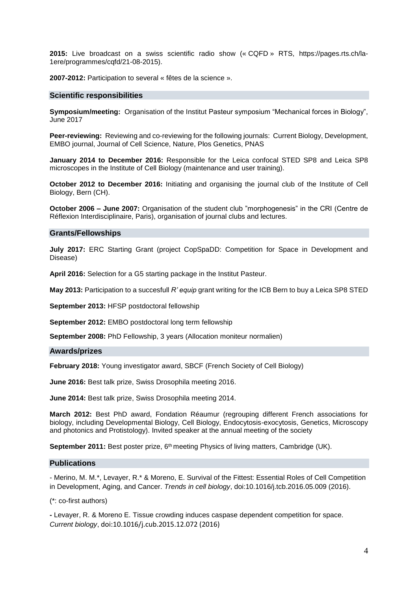**2015:** Live broadcast on a swiss scientific radio show (« CQFD » RTS, https://pages.rts.ch/la-1ere/programmes/cqfd/21-08-2015).

**2007-2012:** Participation to several « fêtes de la science ».

#### **Scientific responsibilities**

**Symposium/meeting:** Organisation of the Institut Pasteur symposium "Mechanical forces in Biology", June 2017

**Peer-reviewing:** Reviewing and co-reviewing for the following journals: Current Biology, Development, EMBO journal, Journal of Cell Science, Nature, Plos Genetics, PNAS

**January 2014 to December 2016:** Responsible for the Leica confocal STED SP8 and Leica SP8 microscopes in the Institute of Cell Biology (maintenance and user training).

**October 2012 to December 2016:** Initiating and organising the journal club of the Institute of Cell Biology, Bern (CH).

**October 2006 – June 2007:** Organisation of the student club "morphogenesis" in the CRI (Centre de Réflexion Interdisciplinaire, Paris), organisation of journal clubs and lectures.

#### **Grants/Fellowships**

**July 2017:** ERC Starting Grant (project CopSpaDD: Competition for Space in Development and Disease)

**April 2016:** Selection for a G5 starting package in the Institut Pasteur.

**May 2013:** Participation to a succesfull *R' equip* grant writing for the ICB Bern to buy a Leica SP8 STED

**September 2013:** HFSP postdoctoral fellowship

**September 2012:** EMBO postdoctoral long term fellowship

**September 2008:** PhD Fellowship, 3 years (Allocation moniteur normalien)

#### **Awards/prizes**

**February 2018:** Young investigator award, SBCF (French Society of Cell Biology)

**June 2016:** Best talk prize, Swiss Drosophila meeting 2016.

**June 2014:** Best talk prize, Swiss Drosophila meeting 2014.

**March 2012:** Best PhD award, Fondation Réaumur (regrouping different French associations for biology, including Developmental Biology, Cell Biology, Endocytosis-exocytosis, Genetics, Microscopy and photonics and Protistology). Invited speaker at the annual meeting of the society

September 2011: Best poster prize, 6<sup>th</sup> meeting Physics of living matters, Cambridge (UK).

#### **Publications**

- Merino, M. M.\*, Levayer, R.\* & Moreno, E. Survival of the Fittest: Essential Roles of Cell Competition in Development, Aging, and Cancer. *Trends in cell biology*, doi:10.1016/j.tcb.2016.05.009 (2016).

(\*: co-first authors)

**-** Levayer, R. & Moreno E. Tissue crowding induces caspase dependent competition for space. *Current biology*, doi:10.1016/j.cub.2015.12.072 (2016)